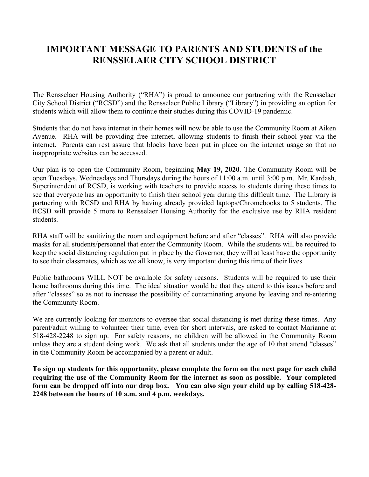## **IMPORTANT MESSAGE TO PARENTS AND STUDENTS of the RENSSELAER CITY SCHOOL DISTRICT**

The Rensselaer Housing Authority ("RHA") is proud to announce our partnering with the Rensselaer City School District ("RCSD") and the Rensselaer Public Library ("Library") in providing an option for students which will allow them to continue their studies during this COVID-19 pandemic.

Students that do not have internet in their homes will now be able to use the Community Room at Aiken Avenue. RHA will be providing free internet, allowing students to finish their school year via the internet. Parents can rest assure that blocks have been put in place on the internet usage so that no inappropriate websites can be accessed.

Our plan is to open the Community Room, beginning **May 19, 2020**. The Community Room will be open Tuesdays, Wednesdays and Thursdays during the hours of 11:00 a.m. until 3:00 p.m. Mr. Kardash, Superintendent of RCSD, is working with teachers to provide access to students during these times to see that everyone has an opportunity to finish their school year during this difficult time. The Library is partnering with RCSD and RHA by having already provided laptops/Chromebooks to 5 students. The RCSD will provide 5 more to Rensselaer Housing Authority for the exclusive use by RHA resident students.

RHA staff will be sanitizing the room and equipment before and after "classes". RHA will also provide masks for all students/personnel that enter the Community Room. While the students will be required to keep the social distancing regulation put in place by the Governor, they will at least have the opportunity to see their classmates, which as we all know, is very important during this time of their lives.

Public bathrooms WILL NOT be available for safety reasons. Students will be required to use their home bathrooms during this time. The ideal situation would be that they attend to this issues before and after "classes" so as not to increase the possibility of contaminating anyone by leaving and re-entering the Community Room.

We are currently looking for monitors to oversee that social distancing is met during these times. Any parent/adult willing to volunteer their time, even for short intervals, are asked to contact Marianne at 518-428-2248 to sign up. For safety reasons, no children will be allowed in the Community Room unless they are a student doing work. We ask that all students under the age of 10 that attend "classes" in the Community Room be accompanied by a parent or adult.

**To sign up students for this opportunity, please complete the form on the next page for each child requiring the use of the Community Room for the internet as soon as possible. Your completed form can be dropped off into our drop box. You can also sign your child up by calling 518-428- 2248 between the hours of 10 a.m. and 4 p.m. weekdays.**